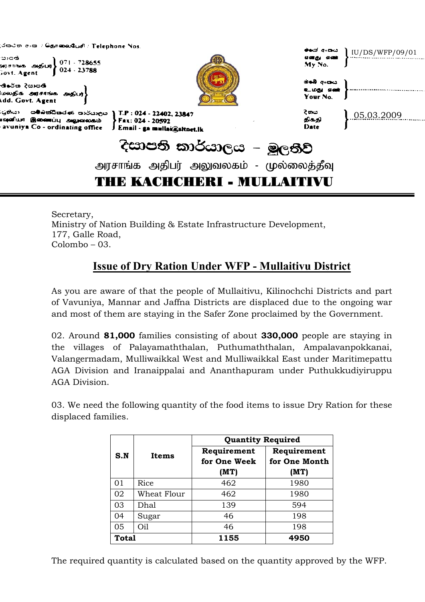| அரசாங்க அதிபர் அலுவலகம் - முல்லைத்தீவு<br>THE KACHCHERI - MULLAITIVU                                                                                                         |                                   |                        |
|------------------------------------------------------------------------------------------------------------------------------------------------------------------------------|-----------------------------------|------------------------|
| දිසාපති කාර්යාලය – මූලතිව්                                                                                                                                                   |                                   |                        |
| 'යුතියා - සම්බස්ධිකරණ කාර්යාලය } T.P : 024 - 22402, 23847<br>மூனியா இணைப்பு அலுவலகம் <b>Fax: 024 - 20592</b><br>avuniya Co - ordinating office J Email - ga mullai@sitnet.lk | ිතය<br>திகதி<br><b>Date</b>       | 0.5.03.2009            |
| තිපේස දිසාපති<br>மலதிக் அரசாங்க அதிபர்}<br>dd. Govt. Agent                                                                                                                   | මමේ අංශය<br>உமது எண்ட<br>Your No. |                        |
| ு) எங்<br>வரசாங்க அதிபர்} 071 - 728655<br>;ovt. Agent 9024 - 23788                                                                                                           | My No.                            |                        |
| ්රපටන අංක / ශිළාකොබරියාව් / Telephone Nos.                                                                                                                                   | ക്ഷ് ചോധ<br>எனது என்              | $\mid$ IU/DS/WFP/09/01 |

Secretary, Ministry of Nation Building & Estate Infrastructure Development, 177, Galle Road, Colombo – 03.

## **Issue of Dry Ration Under WFP - Mullaitivu District**

As you are aware of that the people of Mullaitivu, Kilinochchi Districts and part of Vavuniya, Mannar and Jaffna Districts are displaced due to the ongoing war and most of them are staying in the Safer Zone proclaimed by the Government.

02. Around **81,000** families consisting of about **330,000** people are staying in the villages of Palayamaththalan, Puthumaththalan, Ampalavanpokkanai, Valangermadam, Mulliwaikkal West and Mulliwaikkal East under Maritimepattu AGA Division and Iranaippalai and Ananthapuram under Puthukkudiyiruppu AGA Division.

03. We need the following quantity of the food items to issue Dry Ration for these displaced families.

|              | Items       | <b>Quantity Required</b> |               |  |
|--------------|-------------|--------------------------|---------------|--|
| S.N          |             | Requirement              | Requirement   |  |
|              |             | for One Week             | for One Month |  |
|              |             | (MT)                     | (MT)          |  |
| 01           | Rice        | 462                      | 1980          |  |
| 02           | Wheat Flour | 462                      | 1980          |  |
| 03           | Dhal        | 139                      | 594           |  |
| 04           | Sugar       | 46                       | 198           |  |
| 05           | Oil         | 46                       | 198           |  |
| <b>Total</b> |             | 1155                     | 4950          |  |

The required quantity is calculated based on the quantity approved by the WFP.